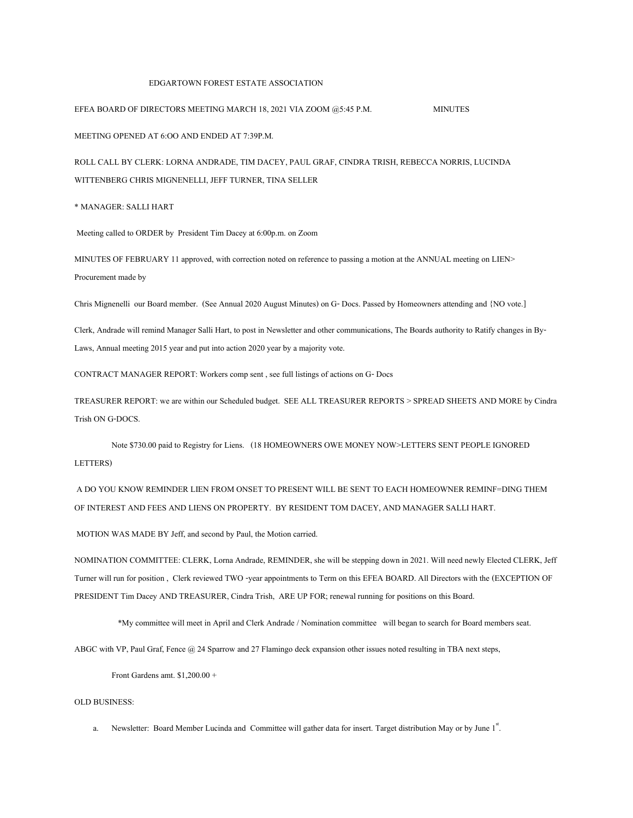## EDGARTOWN FOREST ESTATE ASSOCIATION

## EFEA BOARD OF DIRECTORS MEETING MARCH 18, 2021 VIA ZOOM @5:45 P.M. MINUTES

MEETING OPENED AT 6:OO AND ENDED AT 7:39P.M.

ROLL CALL BY CLERK: LORNA ANDRADE, TIM DACEY, PAUL GRAF, CINDRA TRISH, REBECCA NORRIS, LUCINDA WITTENBERG CHRIS MIGNENELLI, JEFF TURNER, TINA SELLER

\* MANAGER: SALLI HART

Meeting called to ORDER by President Tim Dacey at 6:00p.m. on Zoom

MINUTES OF FEBRUARY 11 approved, with correction noted on reference to passing a motion at the ANNUAL meeting on LIEN> Procurement made by

Chris Mignenelli our Board member. (See Annual 2020 August Minutes) on G- Docs. Passed by Homeowners attending and {NO vote.]

Clerk, Andrade will remind Manager Salli Hart, to post in Newsletter and other communications, The Boards authority to Ratify changes in By-Laws, Annual meeting 2015 year and put into action 2020 year by a majority vote.

CONTRACT MANAGER REPORT: Workers comp sent , see full listings of actions on G- Docs

TREASURER REPORT: we are within our Scheduled budget. SEE ALL TREASURER REPORTS > SPREAD SHEETS AND MORE by Cindra Trish ON G-DOCS.

Note \$730.00 paid to Registry for Liens. (18 HOMEOWNERS OWE MONEY NOW>LETTERS SENT PEOPLE IGNORED LETTERS)

A DO YOU KNOW REMINDER LIEN FROM ONSET TO PRESENT WILL BE SENT TO EACH HOMEOWNER REMINF=DING THEM OF INTEREST AND FEES AND LIENS ON PROPERTY. BY RESIDENT TOM DACEY, AND MANAGER SALLI HART.

MOTION WAS MADE BY Jeff, and second by Paul, the Motion carried.

NOMINATION COMMITTEE: CLERK, Lorna Andrade, REMINDER, she will be stepping down in 2021. Will need newly Elected CLERK, Jeff Turner will run for position , Clerk reviewed TWO -year appointments to Term on this EFEA BOARD. All Directors with the (EXCEPTION OF PRESIDENT Tim Dacey AND TREASURER, Cindra Trish, ARE UPFOR; renewal running for positions on this Board.

\*My committee will meet in April and Clerk Andrade / Nomination committee will began to search for Board members seat.

ABGC with VP, Paul Graf, Fence @ 24 Sparrow and 27 Flamingo deck expansion other issues noted resulting in TBA next steps,

Front Gardens amt. \$1,200.00 +

## OLD BUSINESS:

a. Newsletter: Board Member Lucinda and Committee will gather data for insert. Target distribution May or by June 1st. .